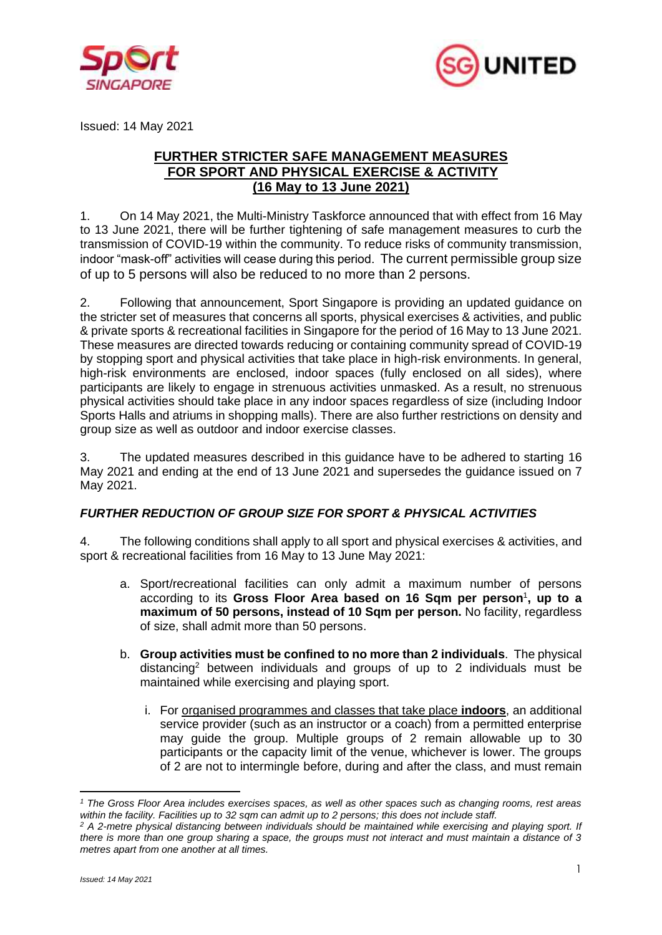



Issued: 14 May 2021

## **FURTHER STRICTER SAFE MANAGEMENT MEASURES FOR SPORT AND PHYSICAL EXERCISE & ACTIVITY (16 May to 13 June 2021)**

1. On 14 May 2021, the Multi-Ministry Taskforce announced that with effect from 16 May to 13 June 2021, there will be further tightening of safe management measures to curb the transmission of COVID-19 within the community. To reduce risks of community transmission, indoor "mask-off" activities will cease during this period. The current permissible group size of up to 5 persons will also be reduced to no more than 2 persons.

2. Following that announcement, Sport Singapore is providing an updated guidance on the stricter set of measures that concerns all sports, physical exercises & activities, and public & private sports & recreational facilities in Singapore for the period of 16 May to 13 June 2021. These measures are directed towards reducing or containing community spread of COVID-19 by stopping sport and physical activities that take place in high-risk environments. In general, high-risk environments are enclosed, indoor spaces (fully enclosed on all sides), where participants are likely to engage in strenuous activities unmasked. As a result, no strenuous physical activities should take place in any indoor spaces regardless of size (including Indoor Sports Halls and atriums in shopping malls). There are also further restrictions on density and group size as well as outdoor and indoor exercise classes.

3. The updated measures described in this guidance have to be adhered to starting 16 May 2021 and ending at the end of 13 June 2021 and supersedes the guidance issued on 7 May 2021.

# *FURTHER REDUCTION OF GROUP SIZE FOR SPORT & PHYSICAL ACTIVITIES*

4. The following conditions shall apply to all sport and physical exercises & activities, and sport & recreational facilities from 16 May to 13 June May 2021:

- a. Sport/recreational facilities can only admit a maximum number of persons according to its **Gross Floor Area based on 16 Sqm per person**<sup>1</sup> **, up to a maximum of 50 persons, instead of 10 Sqm per person.** No facility, regardless of size, shall admit more than 50 persons.
- b. **Group activities must be confined to no more than 2 individuals**. The physical distancing<sup>2</sup> between individuals and groups of up to 2 individuals must be maintained while exercising and playing sport.
	- i. For organised programmes and classes that take place **indoors**, an additional service provider (such as an instructor or a coach) from a permitted enterprise may guide the group. Multiple groups of 2 remain allowable up to 30 participants or the capacity limit of the venue, whichever is lower. The groups of 2 are not to intermingle before, during and after the class, and must remain

*<sup>1</sup> The Gross Floor Area includes exercises spaces, as well as other spaces such as changing rooms, rest areas within the facility. Facilities up to 32 sqm can admit up to 2 persons; this does not include staff.*

*<sup>2</sup> A 2-metre physical distancing between individuals should be maintained while exercising and playing sport. If there is more than one group sharing a space, the groups must not interact and must maintain a distance of 3 metres apart from one another at all times.*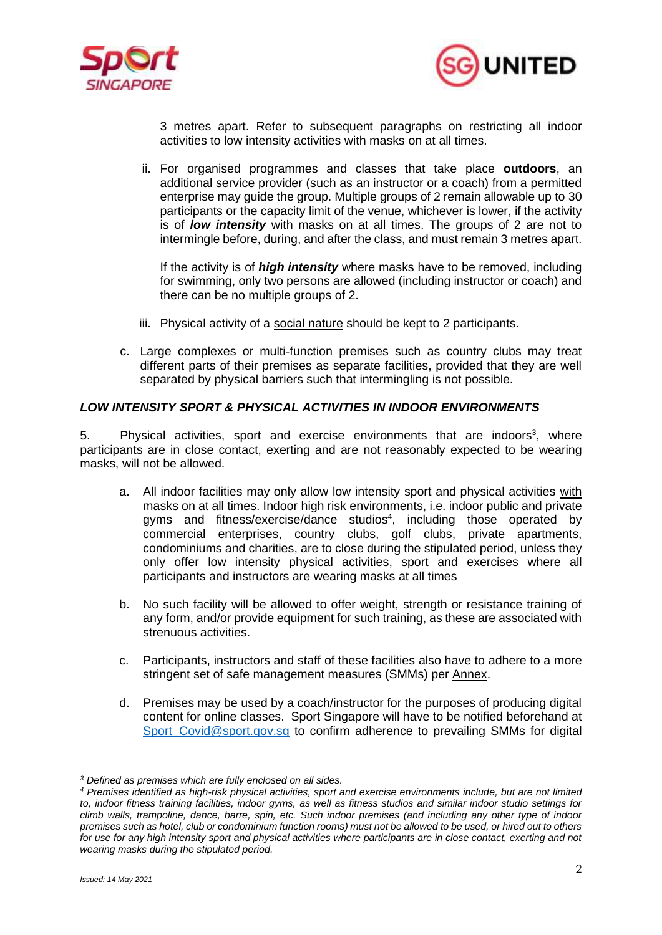



3 metres apart. Refer to subsequent paragraphs on restricting all indoor activities to low intensity activities with masks on at all times.

ii. For organised programmes and classes that take place **outdoors**, an additional service provider (such as an instructor or a coach) from a permitted enterprise may guide the group. Multiple groups of 2 remain allowable up to 30 participants or the capacity limit of the venue, whichever is lower, if the activity is of *low intensity* with masks on at all times. The groups of 2 are not to intermingle before, during, and after the class, and must remain 3 metres apart.

If the activity is of *high intensity* where masks have to be removed, including for swimming, only two persons are allowed (including instructor or coach) and there can be no multiple groups of 2.

- iii. Physical activity of a social nature should be kept to 2 participants.
- c. Large complexes or multi-function premises such as country clubs may treat different parts of their premises as separate facilities, provided that they are well separated by physical barriers such that intermingling is not possible.

## *LOW INTENSITY SPORT & PHYSICAL ACTIVITIES IN INDOOR ENVIRONMENTS*

5. Physical activities, sport and exercise environments that are indoors<sup>3</sup>, where participants are in close contact, exerting and are not reasonably expected to be wearing masks, will not be allowed.

- a. All indoor facilities may only allow low intensity sport and physical activities with masks on at all times. Indoor high risk environments, i.e. indoor public and private gyms and fitness/exercise/dance studios<sup>4</sup>, including those operated by commercial enterprises, country clubs, golf clubs, private apartments, condominiums and charities, are to close during the stipulated period, unless they only offer low intensity physical activities, sport and exercises where all participants and instructors are wearing masks at all times
- b. No such facility will be allowed to offer weight, strength or resistance training of any form, and/or provide equipment for such training, as these are associated with strenuous activities.
- c. Participants, instructors and staff of these facilities also have to adhere to a more stringent set of safe management measures (SMMs) per Annex.
- d. Premises may be used by a coach/instructor for the purposes of producing digital content for online classes. Sport Singapore will have to be notified beforehand at [Sport\\_Covid@sport.gov.sg](mailto:Sport_Covid@sport.gov.sg) to confirm adherence to prevailing SMMs for digital

*<sup>3</sup> Defined as premises which are fully enclosed on all sides.*

*<sup>4</sup> Premises identified as high-risk physical activities, sport and exercise environments include, but are not limited to, indoor fitness training facilities, indoor gyms, as well as fitness studios and similar indoor studio settings for climb walls, trampoline, dance, barre, spin, etc. Such indoor premises (and including any other type of indoor premises such as hotel, club or condominium function rooms) must not be allowed to be used, or hired out to others for use for any high intensity sport and physical activities where participants are in close contact, exerting and not wearing masks during the stipulated period.*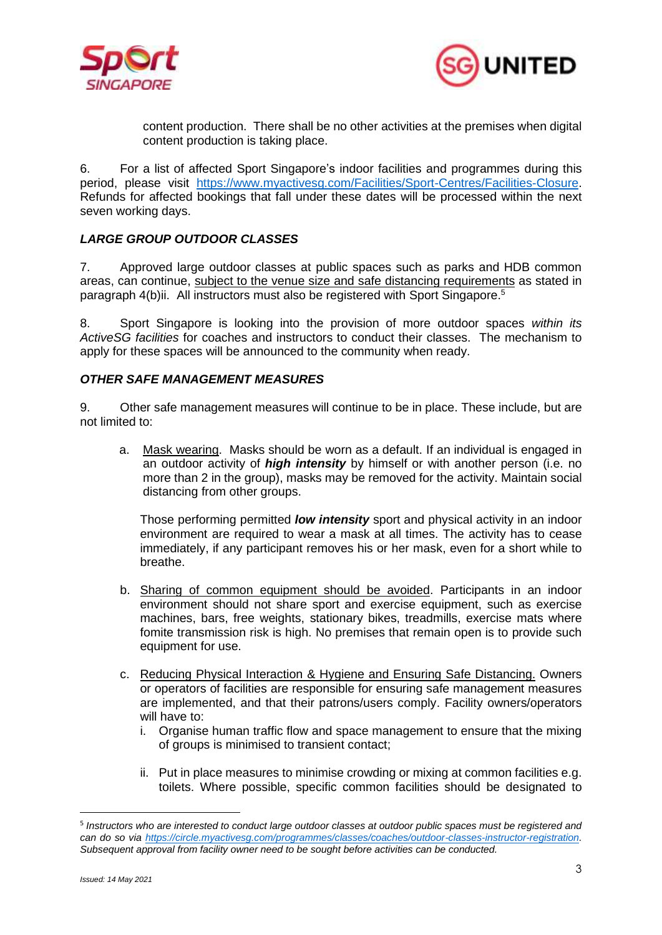



content production. There shall be no other activities at the premises when digital content production is taking place.

6. For a list of affected Sport Singapore's indoor facilities and programmes during this period, please visit [https://www.myactivesg.com/Facilities/Sport-Centres/Facilities-Closure.](https://www.myactivesg.com/Facilities/Sport-Centres/Facilities-Closure) Refunds for affected bookings that fall under these dates will be processed within the next seven working days.

## *LARGE GROUP OUTDOOR CLASSES*

7. Approved large outdoor classes at public spaces such as parks and HDB common areas, can continue, subject to the venue size and safe distancing requirements as stated in paragraph 4(b)ii. All instructors must also be registered with Sport Singapore.<sup>5</sup>

8. Sport Singapore is looking into the provision of more outdoor spaces *within its ActiveSG facilities* for coaches and instructors to conduct their classes. The mechanism to apply for these spaces will be announced to the community when ready.

#### *OTHER SAFE MANAGEMENT MEASURES*

9. Other safe management measures will continue to be in place. These include, but are not limited to:

a. Mask wearing. Masks should be worn as a default. If an individual is engaged in an outdoor activity of *high intensity* by himself or with another person (i.e. no more than 2 in the group), masks may be removed for the activity. Maintain social distancing from other groups.

Those performing permitted *low intensity* sport and physical activity in an indoor environment are required to wear a mask at all times. The activity has to cease immediately, if any participant removes his or her mask, even for a short while to breathe.

- b. Sharing of common equipment should be avoided. Participants in an indoor environment should not share sport and exercise equipment, such as exercise machines, bars, free weights, stationary bikes, treadmills, exercise mats where fomite transmission risk is high. No premises that remain open is to provide such equipment for use.
- c. Reducing Physical Interaction & Hygiene and Ensuring Safe Distancing. Owners or operators of facilities are responsible for ensuring safe management measures are implemented, and that their patrons/users comply. Facility owners/operators will have to:
	- i. Organise human traffic flow and space management to ensure that the mixing of groups is minimised to transient contact;
	- ii. Put in place measures to minimise crowding or mixing at common facilities e.g. toilets. Where possible, specific common facilities should be designated to

<sup>5</sup> *Instructors who are interested to conduct large outdoor classes at outdoor public spaces must be registered and can do so via [https://circle.myactivesg.com/programmes/classes/coaches/outdoor-classes-instructor-registration.](https://circle.myactivesg.com/programmes/classes/coaches/outdoor-classes-instructor-registration) Subsequent approval from facility owner need to be sought before activities can be conducted.*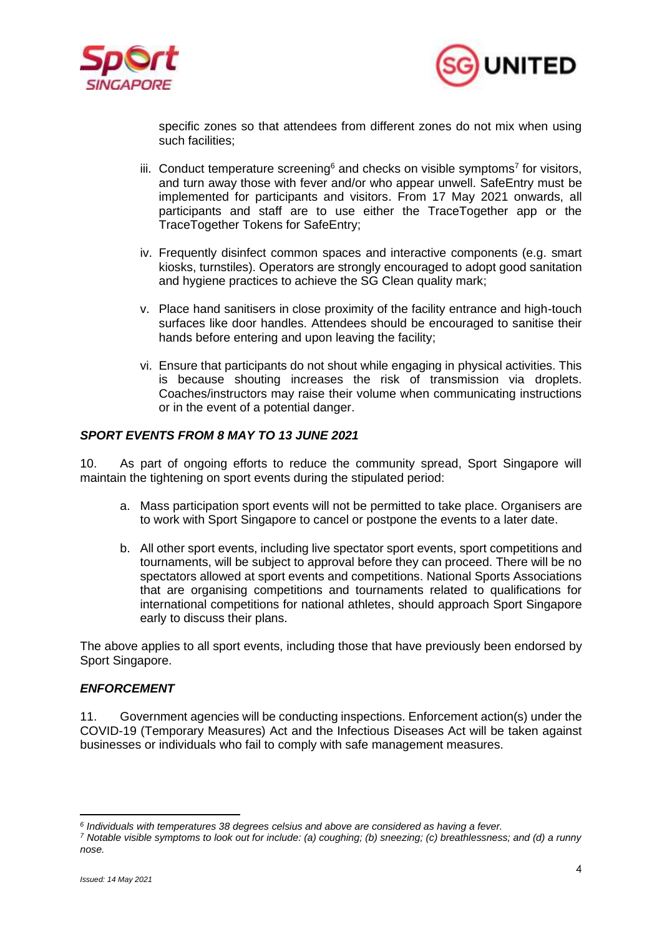



specific zones so that attendees from different zones do not mix when using such facilities;

- iii. Conduct temperature screening<sup>6</sup> and checks on visible symptoms<sup>7</sup> for visitors, and turn away those with fever and/or who appear unwell. SafeEntry must be implemented for participants and visitors. From 17 May 2021 onwards, all participants and staff are to use either the TraceTogether app or the TraceTogether Tokens for SafeEntry;
- iv. Frequently disinfect common spaces and interactive components (e.g. smart kiosks, turnstiles). Operators are strongly encouraged to adopt good sanitation and hygiene practices to achieve the SG Clean quality mark;
- v. Place hand sanitisers in close proximity of the facility entrance and high-touch surfaces like door handles. Attendees should be encouraged to sanitise their hands before entering and upon leaving the facility;
- vi. Ensure that participants do not shout while engaging in physical activities. This is because shouting increases the risk of transmission via droplets. Coaches/instructors may raise their volume when communicating instructions or in the event of a potential danger.

## *SPORT EVENTS FROM 8 MAY TO 13 JUNE 2021*

10. As part of ongoing efforts to reduce the community spread, Sport Singapore will maintain the tightening on sport events during the stipulated period:

- a. Mass participation sport events will not be permitted to take place. Organisers are to work with Sport Singapore to cancel or postpone the events to a later date.
- b. All other sport events, including live spectator sport events, sport competitions and tournaments, will be subject to approval before they can proceed. There will be no spectators allowed at sport events and competitions. National Sports Associations that are organising competitions and tournaments related to qualifications for international competitions for national athletes, should approach Sport Singapore early to discuss their plans.

The above applies to all sport events, including those that have previously been endorsed by Sport Singapore.

## *ENFORCEMENT*

11. Government agencies will be conducting inspections. Enforcement action(s) under the COVID-19 (Temporary Measures) Act and the Infectious Diseases Act will be taken against businesses or individuals who fail to comply with safe management measures.

*<sup>6</sup> Individuals with temperatures 38 degrees celsius and above are considered as having a fever.*

*<sup>7</sup> Notable visible symptoms to look out for include: (a) coughing; (b) sneezing; (c) breathlessness; and (d) a runny nose.*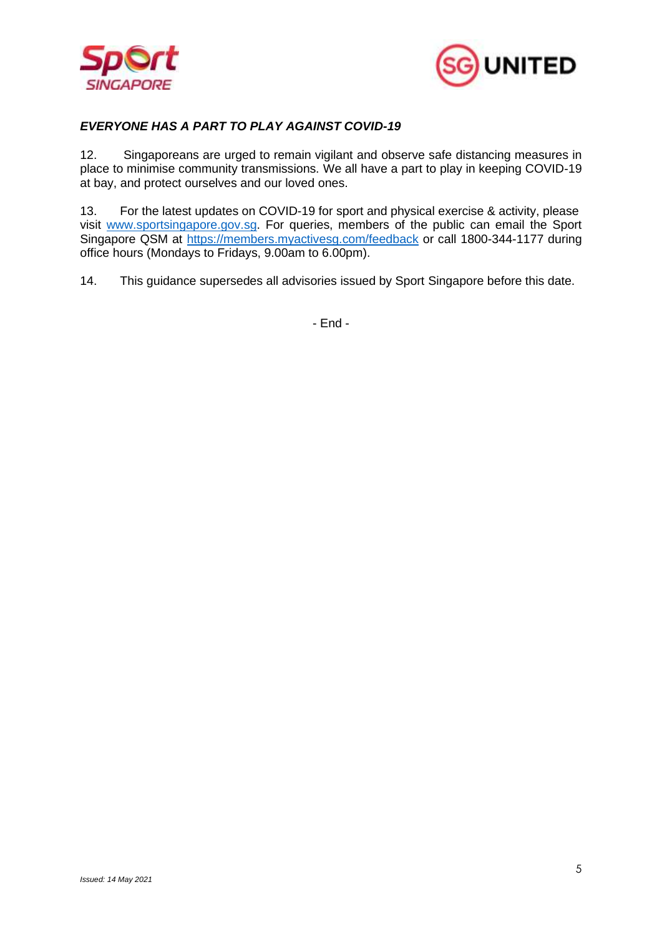



## *EVERYONE HAS A PART TO PLAY AGAINST COVID-19*

12. Singaporeans are urged to remain vigilant and observe safe distancing measures in place to minimise community transmissions. We all have a part to play in keeping COVID-19 at bay, and protect ourselves and our loved ones.

13. For the latest updates on COVID-19 for sport and physical exercise & activity, please visit [www.sportsingapore.gov.sg.](http://www.sportsingapore.gov.sg/) For queries, members of the public can email the Sport Singapore QSM at<https://members.myactivesg.com/feedback> or call 1800-344-1177 during office hours (Mondays to Fridays, 9.00am to 6.00pm).

14. This guidance supersedes all advisories issued by Sport Singapore before this date.

- End -